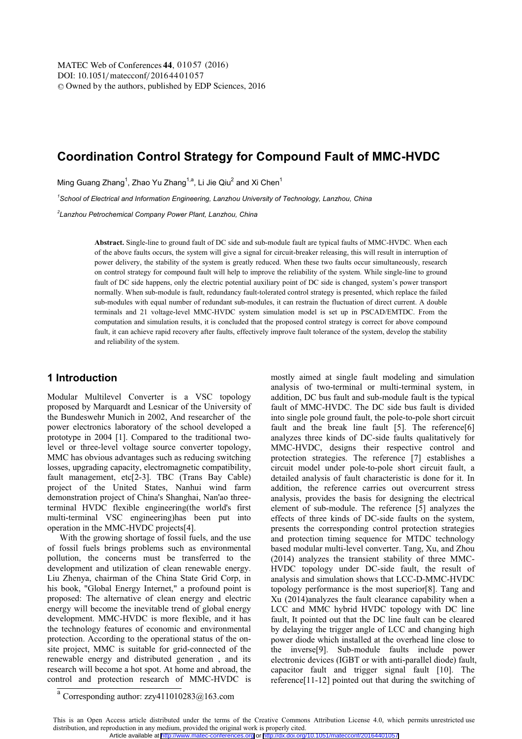# **Coordination Control Strategy for Compound Fault of MMC-HVDC**

Ming Guang Zhang<sup>1</sup>, Zhao Yu Zhang<sup>1,a</sup>, Li Jie Qiu<sup>2</sup> and Xi Chen<sup>1</sup>

*1 School of Electrical and Information Engineering, Lanzhou University of Technology, Lanzhou, China* 

*2 Lanzhou Petrochemical Company Power Plant, Lanzhou, China* 

**Abstract.** Single-line to ground fault of DC side and sub-module fault are typical faults of MMC-HVDC. When each of the above faults occurs, the system will give a signal for circuit-breaker releasing, this will result in interruption of power delivery, the stability of the system is greatly reduced. When these two faults occur simultaneously, research on control strategy for compound fault will help to improve the reliability of the system. While single-line to ground fault of DC side happens, only the electric potential auxiliary point of DC side is changed, system's power transport normally. When sub-module is fault, redundancy fault-tolerated control strategy is presented, which replace the failed sub-modules with equal number of redundant sub-modules, it can restrain the fluctuation of direct current. A double terminals and 21 voltage-level MMC-HVDC system simulation model is set up in PSCAD/EMTDC. From the computation and simulation results, it is concluded that the proposed control strategy is correct for above compound fault, it can achieve rapid recovery after faults, effectively improve fault tolerance of the system, develop the stability and reliability of the system.

### **1 Introduction**

Modular Multilevel Converter is a VSC topology proposed by Marquardt and Lesnicar of the University of the Bundeswehr Munich in 2002, And researcher of the power electronics laboratory of the school developed a prototype in 2004 [1]. Compared to the traditional twolevel or three-level voltage source converter topology, MMC has obvious advantages such as reducing switching losses, upgrading capacity, electromagnetic compatibility, fault management, etc[2-3]. TBC (Trans Bay Cable) project of the United States, Nanhui wind farm demonstration project of China's Shanghai, Nan'ao threeterminal HVDC flexible engineering(the world's first multi-terminal VSC engineering)has been put into operation in the MMC-HVDC projects[4].

With the growing shortage of fossil fuels, and the use of fossil fuels brings problems such as environmental pollution, the concerns must be transferred to the development and utilization of clean renewable energy. Liu Zhenya, chairman of the China State Grid Corp, in his book, "Global Energy Internet," a profound point is proposed: The alternative of clean energy and electric energy will become the inevitable trend of global energy development. MMC-HVDC is more flexible, and it has the technology features of economic and environmental protection. According to the operational status of the onsite project, MMC is suitable for grid-connected of the renewable energy and distributed generation , and its research will become a hot spot. At home and abroad, the control and protection research of MMC-HVDC is

mostly aimed at single fault modeling and simulation analysis of two-terminal or multi-terminal system, in addition, DC bus fault and sub-module fault is the typical fault of MMC-HVDC. The DC side bus fault is divided into single pole ground fault, the pole-to-pole short circuit fault and the break line fault [5]. The reference[6] analyzes three kinds of DC-side faults qualitatively for MMC-HVDC, designs their respective control and protection strategies. The reference [7] establishes a circuit model under pole-to-pole short circuit fault, a detailed analysis of fault characteristic is done for it. In addition, the reference carries out overcurrent stress analysis, provides the basis for designing the electrical element of sub-module. The reference [5] analyzes the effects of three kinds of DC-side faults on the system, presents the corresponding control protection strategies and protection timing sequence for MTDC technology based modular multi-level converter. Tang, Xu, and Zhou (2014) analyzes the transient stability of three MMC-HVDC topology under DC-side fault, the result of analysis and simulation shows that LCC-D-MMC-HVDC topology performance is the most superior[8]. Tang and Xu (2014)analyzes the fault clearance capability when a LCC and MMC hybrid HVDC topology with DC line fault, It pointed out that the DC line fault can be cleared by delaying the trigger angle of LCC and changing high power diode which installed at the overhead line close to the inverse[9]. Sub-module faults include power electronic devices (IGBT or with anti-parallel diode) fault, capacitor fault and trigger signal fault [10]. The reference[11-12] pointed out that during the switching of

 $a$  Corresponding author: zzy411010283@163.com

This is an Open Access article distributed under the terms of the Creative Commons Attribution License 4.0, which permits unrestricted use distribution, and reproduction in any medium, provided the original work is properly cited. Article available at <http://www.matec-conferences.org> or <http://dx.doi.org/10.1051/matecconf/20164401057>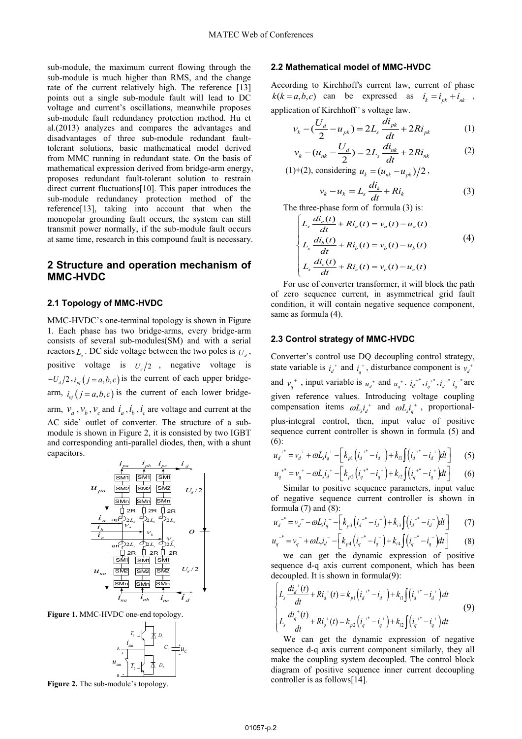sub-module, the maximum current flowing through the sub-module is much higher than RMS, and the change rate of the current relatively high. The reference [13] points out a single sub-module fault will lead to DC voltage and current's oscillations, meanwhile proposes sub-module fault redundancy protection method. Hu et al.(2013) analyzes and compares the advantages and disadvantages of three sub-module redundant faulttolerant solutions, basic mathematical model derived from MMC running in redundant state. On the basis of mathematical expression derived from bridge-arm energy, proposes redundant fault-tolerant solution to restrain direct current fluctuations[10]. This paper introduces the sub-module redundancy protection method of the reference[13], taking into account that when the monopolar grounding fault occurs, the system can still transmit power normally, if the sub-module fault occurs at same time, research in this compound fault is necessary.

## **2 Structure and operation mechanism of MMC-HVDC**

#### **2.1 Topology of MMC-HVDC**

MMC-HVDC's one-terminal topology is shown in Figure 1. Each phase has two bridge-arms, every bridge-arm consists of several sub-modules(SM) and with a serial reactors  $L_{\mu}$ . DC side voltage between the two poles is  $U_{\mu}$ , positive voltage is  $U_d/2$ , negative voltage is  $-U_{d}/2$ ,  $i_{pi}(j = a,b,c)$  is the current of each upper bridgearm,  $i_{ni}$   $(j = a, b, c)$  is the current of each lower bridgearm,  $v_a$ ,  $v_b$ ,  $v_c$  and  $i_a$ ,  $i_b$ ,  $i_c$  are voltage and current at the AC side' outlet of converter. The structure of a submodule is shown in Figure 2, it is consisted by two IGBT and corresponding anti-parallel diodes, then, with a shunt capacitors.



**Figure 1.** MMC-HVDC one-end topology.



**Figure 2.** The sub-module's topology.

#### **2.2 Mathematical model of MMC-HVDC**

According to Kirchhoff's current law, current of phase  $k(k = a,b,c)$  can be expressed as  $i_k = i_{nk} + i_{nk}$ , application of Kirchhoff ' s voltage law.

$$
v_k - (\frac{U_d}{2} - u_{pk}) = 2L_s \frac{di_{pk}}{dt} + 2Ri_{pk}
$$
 (1)

$$
v_k - (u_{nk} - \frac{U_d}{2}) = 2L_s \frac{di_{nk}}{dt} + 2Ri_{nk}
$$
 (2)

(1)+(2), considering  $u_k = (u_{nk} - u_{nk})/2$ ,

$$
v_k - u_k = L_s \frac{di_k}{dt} + Ri_k
$$
 (3)

The three-phase form of formula (3) is:

$$
\begin{cases}\nL_s \frac{di_a(t)}{dt} + Ri_a(t) = v_a(t) - u_a(t) \\
L_s \frac{di_b(t)}{dt} + Ri_b(t) = v_b(t) - u_b(t) \\
L_s \frac{di_c(t)}{dt} + Ri_c(t) = v_c(t) - u_c(t)\n\end{cases} (4)
$$

For use of converter transformer, it will block the path of zero sequence current, in asymmetrical grid fault condition, it will contain negative sequence component, same as formula (4).

#### **2.3 Control strategy of MMC-HVDC**

Converter's control use DQ decoupling control strategy, state variable is  $i_d^{\dagger}$  and  $i_d^{\dagger}$ , disturbance component is  $v_d^{\dagger}$ 

and  $v_q^+$ , input variable is  $u_d^+$  and  $u_q^+$ .  $i_d^+$ ,  $i_d^+$ ,  $i_d^-$ ,  $i_d^-$  are given reference values. Introducing voltage coupling compensation items  $\omega L_s i_d^+$  and  $\omega L_s i_a^+$ , proportionalplus-integral control, then, input value of positive sequence current controller is shown in formula (5) and (6):

$$
u_d^{+*} = v_d^{+} + \omega L_s i_q^{+} - \left[ k_{p1} \left( i_d^{+*} - i_d^{+} \right) + k_{i1} \int \left( i_d^{+*} - i_d^{+} \right) dt \right] \tag{5}
$$

$$
u_q^{+*} = v_q^{+} - \omega L_s i_d^{+} - \left[ k_{p2} \left( i_q^{+*} - i_q^{+} \right) + k_{i2} \int \left( i_q^{+*} - i_q^{+} \right) dt \right] \tag{6}
$$

Similar to positive sequence parameters, input value of negative sequence current controller is shown in formula  $(7)$  and  $(8)$ :

$$
u_d^{-*} = v_d^- - \omega L_s t_q^- - \left[k_{p3} \left(i_d^{-*} - i_d^-\right) + k_{i3} \int \left(i_d^{-*} - i_d^-\right) dt\right]
$$
 (7)

$$
u_q^{-*} = v_q^- + \omega L_s i_d^- - \left[ k_{p4} \left( i_q^{-*} - i_q^- \right) + k_{i4} \int \left( i_q^{-*} - i_q^- \right) dt \right]
$$
 (8)

we can get the dynamic expression of positive sequence d-q axis current component, which has been decoupled. It is shown in formula(9):

$$
\begin{cases}\nL_s \frac{di_d^+(t)}{dt} + Ri_d^+(t) = k_{p1} \left( i_d^{+*} - i_d^{+} \right) + k_{i1} \int \left( i_d^{+*} - i_d^{-*} \right) dt \\
L_s \frac{di_q^+(t)}{dt} + Ri_q^+(t) = k_{p2} \left( i_q^{+*} - i_q^{+} \right) + k_{i2} \int \left( i_q^{+*} - i_q^{-*} \right) dt\n\end{cases}
$$
\n(9)

We can get the dynamic expression of negative sequence d-q axis current component similarly, they all make the coupling system decoupled. The control block diagram of positive sequence inner current decoupling controller is as follows[14].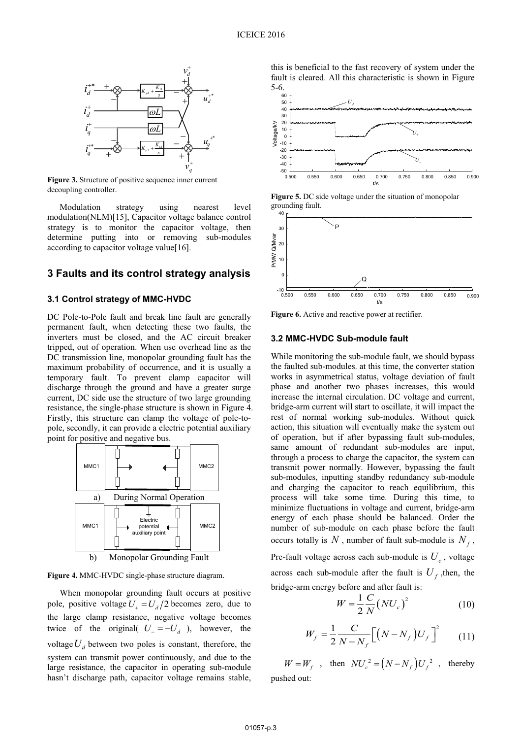

**Figure 3.** Structure of positive sequence inner current decoupling controller.

Modulation strategy using nearest level modulation(NLM)[15], Capacitor voltage balance control strategy is to monitor the capacitor voltage, then determine putting into or removing sub-modules according to capacitor voltage value[16].

### **3 Faults and its control strategy analysis**

#### **3.1 Control strategy of MMC-HVDC**

DC Pole-to-Pole fault and break line fault are generally permanent fault, when detecting these two faults, the inverters must be closed, and the AC circuit breaker tripped, out of operation. When use overhead line as the DC transmission line, monopolar grounding fault has the maximum probability of occurrence, and it is usually a temporary fault. To prevent clamp capacitor will discharge through the ground and have a greater surge current, DC side use the structure of two large grounding resistance, the single-phase structure is shown in Figure 4. Firstly, this structure can clamp the voltage of pole-topole, secondly, it can provide a electric potential auxiliary point for positive and negative bus.



**Figure 4.** MMC-HVDC single-phase structure diagram.

When monopolar grounding fault occurs at positive pole, positive voltage  $U_{\perp} = U_d/2$  becomes zero, due to the large clamp resistance, negative voltage becomes twice of the original(  $U = -U_d$  ), however, the voltage  $U_d$  between two poles is constant, therefore, the system can transmit power continuously, and due to the large resistance, the capacitor in operating sub-module hasn't discharge path, capacitor voltage remains stable,

this is beneficial to the fast recovery of system under the fault is cleared. All this characteristic is shown in Figure  $5-6.66$ 



**Figure 5.** DC side voltage under the situation of monopolar grounding fault.



**Figure 6.** Active and reactive power at rectifier.

### **3.2 MMC-HVDC Sub-module fault**

While monitoring the sub-module fault, we should bypass the faulted sub-modules. at this time, the converter station works in asymmetrical status, voltage deviation of fault phase and another two phases increases, this would increase the internal circulation. DC voltage and current, bridge-arm current will start to oscillate, it will impact the rest of normal working sub-modules. Without quick action, this situation will eventually make the system out of operation, but if after bypassing fault sub-modules, same amount of redundant sub-modules are input, through a process to charge the capacitor, the system can transmit power normally. However, bypassing the fault sub-modules, inputting standby redundancy sub-module and charging the capacitor to reach equilibrium, this process will take some time. During this time, to minimize fluctuations in voltage and current, bridge-arm energy of each phase should be balanced. Order the number of sub-module on each phase before the fault occurs totally is N, number of fault sub-module is  $N_f$ , Pre-fault voltage across each sub-module is  $U_c$ , voltage across each sub-module after the fault is  $U_f$ , then, the bridge-arm energy before and after fault is:

$$
W = \frac{1}{2} \frac{C}{N} \left( N U_c \right)^2 \tag{10}
$$

$$
W_f = \frac{1}{2} \frac{C}{N - N_f} \Big[ \Big( N - N_f \Big) U_f \Big]^2 \qquad (11)
$$

 $W = W_f$ , then  $NU_c^2 = (N - N_f)U_f^2$ , thereby pushed out: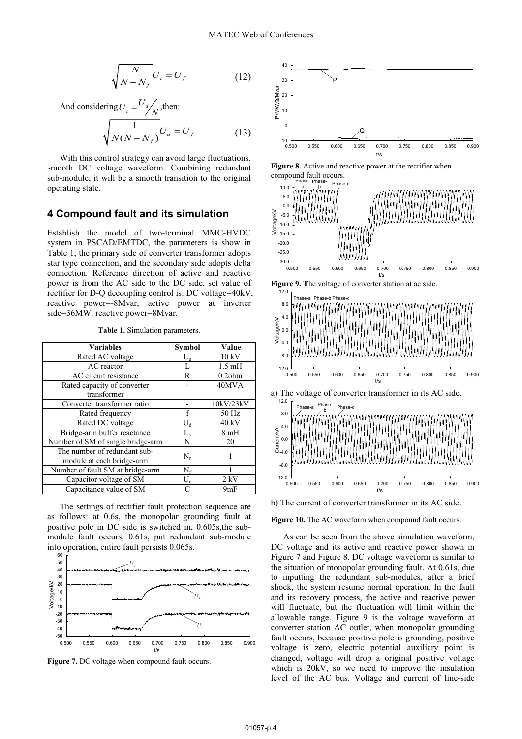$$
\sqrt{\frac{N}{N-N_f}}U_c = U_f \tag{12}
$$

And considering 
$$
U_c = \frac{U_d}{N}
$$
, then:  
\n
$$
\sqrt{\frac{1}{N(N - N_f)}} U_d = U_f
$$
\n(13)

With this control strategy can avoid large fluctuations, smooth DC voltage waveform. Combining redundant sub-module, it will be a smooth transition to the original operating state.

#### **4 Compound fault and its simulation**

Establish the model of two-terminal MMC-HVDC system in PSCAD/EMTDC, the parameters is show in Table 1, the primary side of converter transformer adopts star type connection, and the secondary side adopts delta connection. Reference direction of active and reactive power is from the AC side to the DC side, set value of rectifier for D-Q decoupling control is: DC voltage=40kV, reactive power=-8Mvar, active power at inverter side=36MW, reactive power=8Mvar.

| <b>Variables</b>                  | <b>Symbol</b> | Value            |
|-----------------------------------|---------------|------------------|
| Rated AC voltage                  | $U_{s}$       | 10 kV            |
| AC reactor                        | L             | $1.5 \text{ mH}$ |
| AC circuit resistance             | R             | $0.2$ ohm        |
| Rated capacity of converter       |               | 40MVA            |
| transformer                       |               |                  |
| Converter transformer ratio       |               | 10kV/23kV        |
| Rated frequency                   | f             | 50 Hz            |
| Rated DC voltage                  | $U_d$         | 40 kV            |
| Bridge-arm buffer reactance       | $L_{\rm s}$   | 8mH              |
| Number of SM of single bridge-arm | N             | 20               |
| The number of redundant sub-      | $N_r$         |                  |
| module at each bridge-arm         |               |                  |
| Number of fault SM at bridge-arm  | $N_f$         |                  |
| Capacitor voltage of SM           | $U_c$         | $2$ kV           |
| Capacitance value of SM           | $\subset$     | 9mF              |

**Table 1.** Simulation parameters.

The settings of rectifier fault protection sequence are as follows: at 0.6s, the monopolar grounding fault at positive pole in DC side is switched in, 0.605s,the submodule fault occurs, 0.61s, put redundant sub-module into operation, entire fault persists  $0.065$ s.







**Figure 8.** Active and reactive power at the rectifier when compound fault occurs.







b) The current of converter transformer in its AC side.

0.500

 $-12$ 

0.500 0.550 0.550 0.550 0.700 0.750 0.750 0.700 0.750 0.750 0.750 0.750 0.750 0.750 0.750 0.750 0.750 0.750 0.

**Figure 10.** The AC waveform when compound fault occurs.

As can be seen from the above simulation waveform, DC voltage and its active and reactive power shown in Figure 7 and Figure 8. DC voltage waveform is similar to the situation of monopolar grounding fault. At 0.61s, due to inputting the redundant sub-modules, after a brief shock, the system resume normal operation. In the fault and its recovery process, the active and reactive power will fluctuate, but the fluctuation will limit within the allowable range. Figure 9 is the voltage waveform at converter station AC outlet, when monopolar grounding fault occurs, because positive pole is grounding, positive voltage is zero, electric potential auxiliary point is changed, voltage will drop a original positive voltage which is 20kV, so we need to improve the insulation level of the AC bus. Voltage and current of line-side